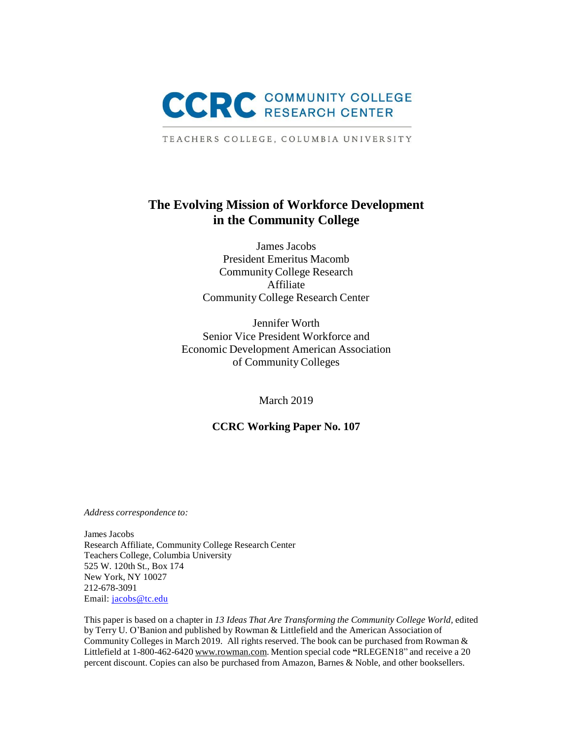

TEACHERS COLLEGE, COLUMBIA UNIVERSITY

## **The Evolving Mission of Workforce Development in the Community College**

James Jacobs President Emeritus Macomb CommunityCollege Research Affiliate Community College Research Center

Jennifer Worth Senior Vice President Workforce and Economic Development American Association of Community Colleges

March 2019

## **CCRC Working Paper No. 107**

*Address correspondence to:*

James Jacobs Research Affiliate, Community College Research Center Teachers College, Columbia University 525 W. 120th St., Box 174 New York, NY 10027 212-678-3091 Email: [jacobs@tc.edu](mailto:jacobs@tc.edu)

This paper is based on a chapter in *13 Ideas That Are Transforming the Community College World,* edited by Terry U. O'Banion and published by Rowman & Littlefield and the American Association of Community Colleges in March 2019. All rights reserved. The book can be purchased from Rowman & Littlefield at 1-800-462-6420 [www.rowman.com.](http://www.rowman.com/) Mention special code **"**RLEGEN18" and receive a 20 percent discount. Copies can also be purchased from Amazon, Barnes & Noble, and other booksellers.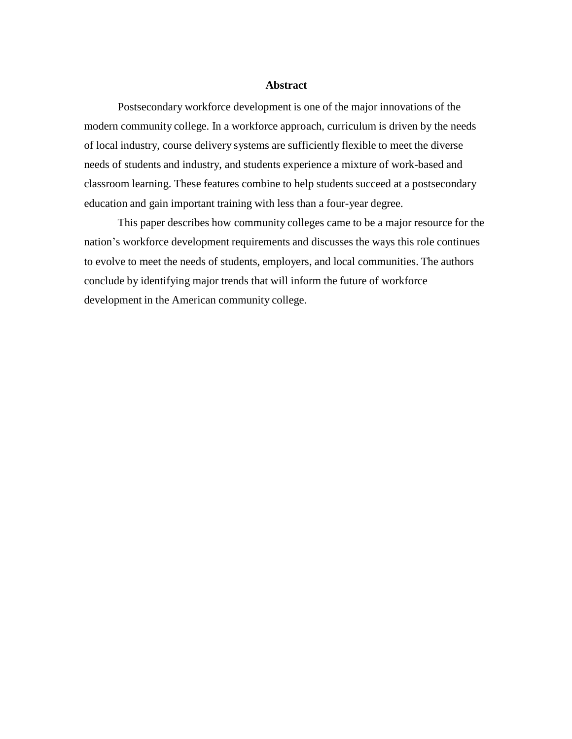#### **Abstract**

Postsecondary workforce development is one of the major innovations of the modern community college. In a workforce approach, curriculum is driven by the needs of local industry, course delivery systems are sufficiently flexible to meet the diverse needs of students and industry, and students experience a mixture of work-based and classroom learning. These features combine to help students succeed at a postsecondary education and gain important training with less than a four-year degree.

This paper describes how community colleges came to be a major resource for the nation's workforce development requirements and discusses the ways this role continues to evolve to meet the needs of students, employers, and local communities. The authors conclude by identifying major trends that will inform the future of workforce development in the American community college.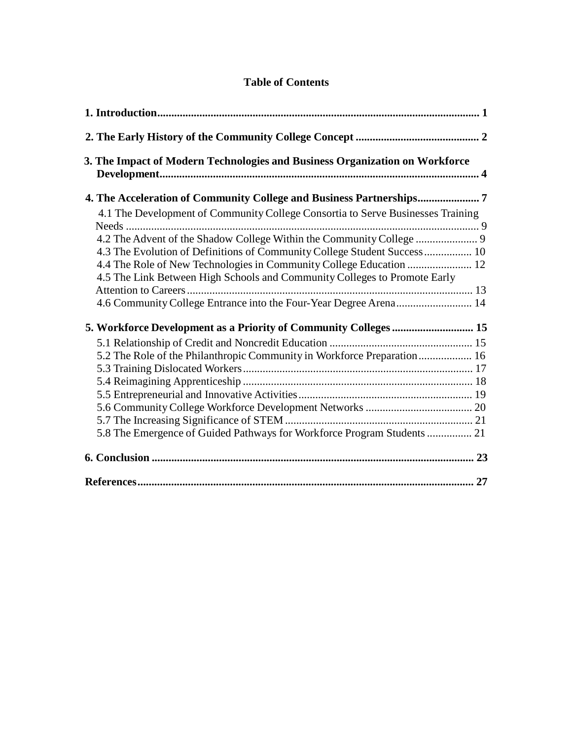## **Table of Contents**

| 3. The Impact of Modern Technologies and Business Organization on Workforce     |  |
|---------------------------------------------------------------------------------|--|
| 4. The Acceleration of Community College and Business Partnerships              |  |
| 4.1 The Development of Community College Consortia to Serve Businesses Training |  |
|                                                                                 |  |
| 4.3 The Evolution of Definitions of Community College Student Success 10        |  |
| 4.5 The Link Between High Schools and Community Colleges to Promote Early       |  |
|                                                                                 |  |
|                                                                                 |  |
| 5. Workforce Development as a Priority of Community Colleges  15                |  |
|                                                                                 |  |
| 5.2 The Role of the Philanthropic Community in Workforce Preparation 16         |  |
|                                                                                 |  |
|                                                                                 |  |
|                                                                                 |  |
|                                                                                 |  |
|                                                                                 |  |
| 5.8 The Emergence of Guided Pathways for Workforce Program Students  21         |  |
|                                                                                 |  |
|                                                                                 |  |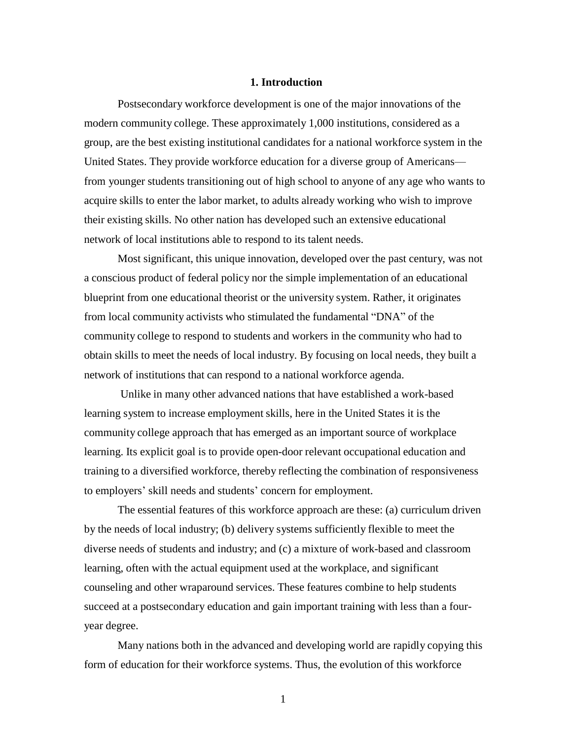## **1. Introduction**

Postsecondary workforce development is one of the major innovations of the modern community college. These approximately 1,000 institutions, considered as a group, are the best existing institutional candidates for a national workforce system in the United States. They provide workforce education for a diverse group of Americans from younger students transitioning out of high school to anyone of any age who wants to acquire skills to enter the labor market, to adults already working who wish to improve their existing skills. No other nation has developed such an extensive educational network of local institutions able to respond to its talent needs.

Most significant, this unique innovation, developed over the past century, was not a conscious product of federal policy nor the simple implementation of an educational blueprint from one educational theorist or the university system. Rather, it originates from local community activists who stimulated the fundamental "DNA" of the community college to respond to students and workers in the community who had to obtain skills to meet the needs of local industry. By focusing on local needs, they built a network of institutions that can respond to a national workforce agenda.

Unlike in many other advanced nations that have established a work-based learning system to increase employment skills, here in the United States it is the community college approach that has emerged as an important source of workplace learning. Its explicit goal is to provide open-door relevant occupational education and training to a diversified workforce, thereby reflecting the combination of responsiveness to employers' skill needs and students' concern for employment.

The essential features of this workforce approach are these: (a) curriculum driven by the needs of local industry; (b) delivery systems sufficiently flexible to meet the diverse needs of students and industry; and (c) a mixture of work-based and classroom learning, often with the actual equipment used at the workplace, and significant counseling and other wraparound services. These features combine to help students succeed at a postsecondary education and gain important training with less than a fouryear degree.

Many nations both in the advanced and developing world are rapidly copying this form of education for their workforce systems. Thus, the evolution of this workforce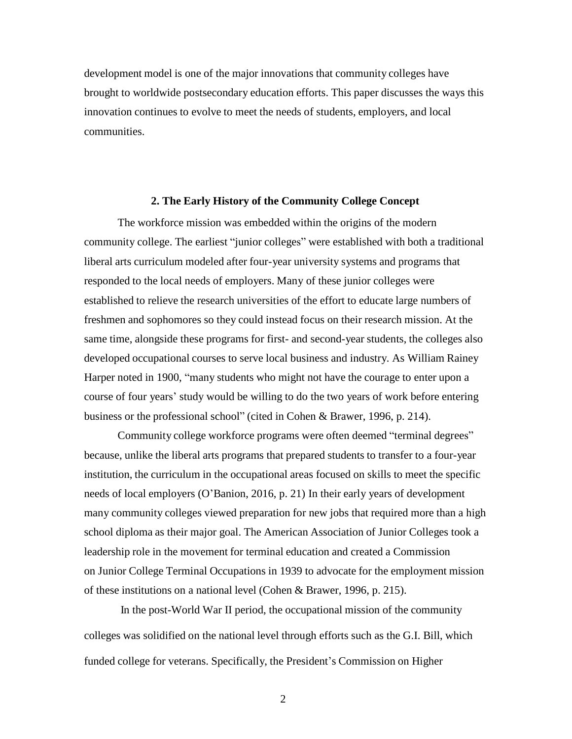development model is one of the major innovations that community colleges have brought to worldwide postsecondary education efforts. This paper discusses the ways this innovation continues to evolve to meet the needs of students, employers, and local communities.

## **2. The Early History of the Community College Concept**

The workforce mission was embedded within the origins of the modern community college. The earliest "junior colleges" were established with both a traditional liberal arts curriculum modeled after four-year university systems and programs that responded to the local needs of employers. Many of these junior colleges were established to relieve the research universities of the effort to educate large numbers of freshmen and sophomores so they could instead focus on their research mission. At the same time, alongside these programs for first- and second-year students, the colleges also developed occupational courses to serve local business and industry. As William Rainey Harper noted in 1900, "many students who might not have the courage to enter upon a course of four years' study would be willing to do the two years of work before entering business or the professional school" (cited in Cohen & Brawer, 1996, p. 214).

Community college workforce programs were often deemed "terminal degrees" because, unlike the liberal arts programs that prepared students to transfer to a four-year institution, the curriculum in the occupational areas focused on skills to meet the specific needs of local employers (O'Banion, 2016, p. 21) In their early years of development many community colleges viewed preparation for new jobs that required more than a high school diploma as their major goal. The American Association of Junior Colleges took a leadership role in the movement for terminal education and created a Commission on Junior College Terminal Occupations in 1939 to advocate for the employment mission of these institutions on a national level (Cohen & Brawer, 1996, p. 215).

In the post-World War II period, the occupational mission of the community colleges was solidified on the national level through efforts such as the G.I. Bill, which funded college for veterans. Specifically, the President's Commission on Higher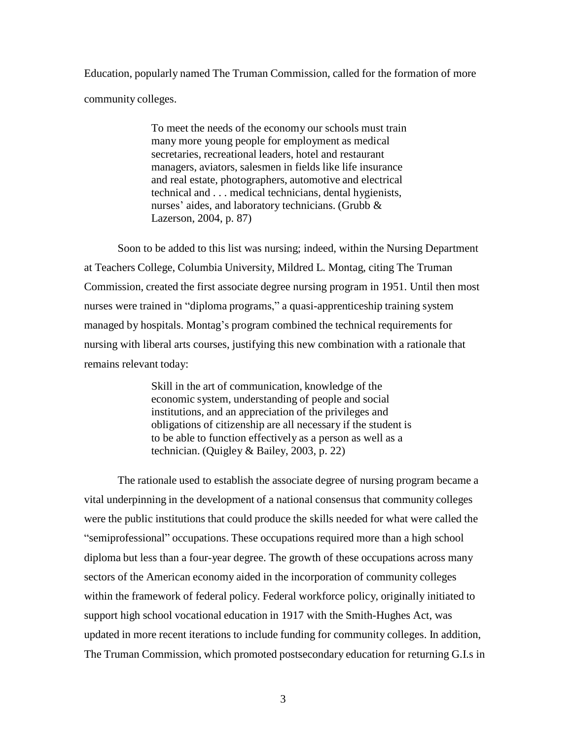Education, popularly named The Truman Commission, called for the formation of more community colleges.

> To meet the needs of the economy our schools must train many more young people for employment as medical secretaries, recreational leaders, hotel and restaurant managers, aviators, salesmen in fields like life insurance and real estate, photographers, automotive and electrical technical and . . . medical technicians, dental hygienists, nurses' aides, and laboratory technicians. (Grubb & Lazerson, 2004, p. 87)

Soon to be added to this list was nursing; indeed, within the Nursing Department at Teachers College, Columbia University, Mildred L. Montag, citing The Truman Commission, created the first associate degree nursing program in 1951. Until then most nurses were trained in "diploma programs," a quasi-apprenticeship training system managed by hospitals. Montag's program combined the technical requirements for nursing with liberal arts courses, justifying this new combination with a rationale that remains relevant today:

> Skill in the art of communication, knowledge of the economic system, understanding of people and social institutions, and an appreciation of the privileges and obligations of citizenship are all necessary if the student is to be able to function effectively as a person as well as a technician. (Quigley & Bailey, 2003, p. 22)

The rationale used to establish the associate degree of nursing program became a vital underpinning in the development of a national consensus that community colleges were the public institutions that could produce the skills needed for what were called the "semiprofessional" occupations. These occupations required more than a high school diploma but less than a four-year degree. The growth of these occupations across many sectors of the American economy aided in the incorporation of community colleges within the framework of federal policy. Federal workforce policy, originally initiated to support high school vocational education in 1917 with the Smith-Hughes Act, was updated in more recent iterations to include funding for community colleges. In addition, The Truman Commission, which promoted postsecondary education for returning G.I.s in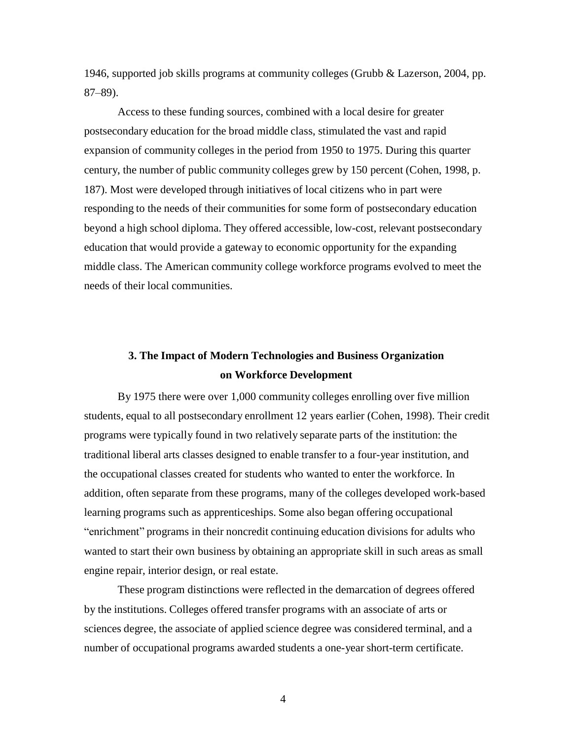1946, supported job skills programs at community colleges (Grubb & Lazerson, 2004, pp. 87–89).

Access to these funding sources, combined with a local desire for greater postsecondary education for the broad middle class, stimulated the vast and rapid expansion of community colleges in the period from 1950 to 1975. During this quarter century, the number of public community colleges grew by 150 percent (Cohen, 1998, p. 187). Most were developed through initiatives of local citizens who in part were responding to the needs of their communities for some form of postsecondary education beyond a high school diploma. They offered accessible, low-cost, relevant postsecondary education that would provide a gateway to economic opportunity for the expanding middle class. The American community college workforce programs evolved to meet the needs of their local communities.

# **3. The Impact of Modern Technologies and Business Organization on Workforce Development**

By 1975 there were over 1,000 community colleges enrolling over five million students, equal to all postsecondary enrollment 12 years earlier (Cohen, 1998). Their credit programs were typically found in two relatively separate parts of the institution: the traditional liberal arts classes designed to enable transfer to a four-year institution, and the occupational classes created for students who wanted to enter the workforce. In addition, often separate from these programs, many of the colleges developed work-based learning programs such as apprenticeships. Some also began offering occupational "enrichment" programs in their noncredit continuing education divisions for adults who wanted to start their own business by obtaining an appropriate skill in such areas as small engine repair, interior design, or real estate.

These program distinctions were reflected in the demarcation of degrees offered by the institutions. Colleges offered transfer programs with an associate of arts or sciences degree, the associate of applied science degree was considered terminal, and a number of occupational programs awarded students a one-year short-term certificate.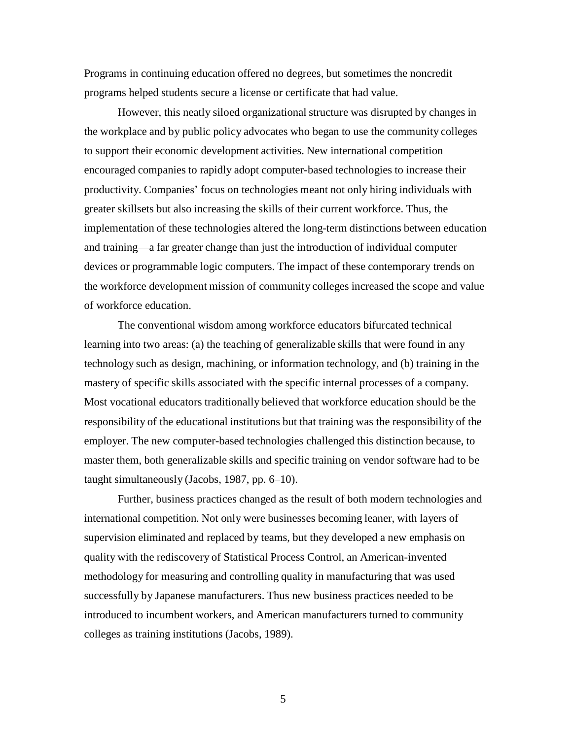Programs in continuing education offered no degrees, but sometimes the noncredit programs helped students secure a license or certificate that had value.

However, this neatly siloed organizational structure was disrupted by changes in the workplace and by public policy advocates who began to use the community colleges to support their economic development activities. New international competition encouraged companies to rapidly adopt computer-based technologies to increase their productivity. Companies' focus on technologies meant not only hiring individuals with greater skillsets but also increasing the skills of their current workforce. Thus, the implementation of these technologies altered the long-term distinctions between education and training—a far greater change than just the introduction of individual computer devices or programmable logic computers. The impact of these contemporary trends on the workforce development mission of community colleges increased the scope and value of workforce education.

The conventional wisdom among workforce educators bifurcated technical learning into two areas: (a) the teaching of generalizable skills that were found in any technology such as design, machining, or information technology, and (b) training in the mastery of specific skills associated with the specific internal processes of a company. Most vocational educators traditionally believed that workforce education should be the responsibility of the educational institutions but that training was the responsibility of the employer. The new computer-based technologies challenged this distinction because, to master them, both generalizable skills and specific training on vendor software had to be taught simultaneously (Jacobs, 1987, pp. 6–10).

Further, business practices changed as the result of both modern technologies and international competition. Not only were businesses becoming leaner, with layers of supervision eliminated and replaced by teams, but they developed a new emphasis on quality with the rediscovery of Statistical Process Control, an American-invented methodology for measuring and controlling quality in manufacturing that was used successfully by Japanese manufacturers. Thus new business practices needed to be introduced to incumbent workers, and American manufacturers turned to community colleges as training institutions (Jacobs, 1989).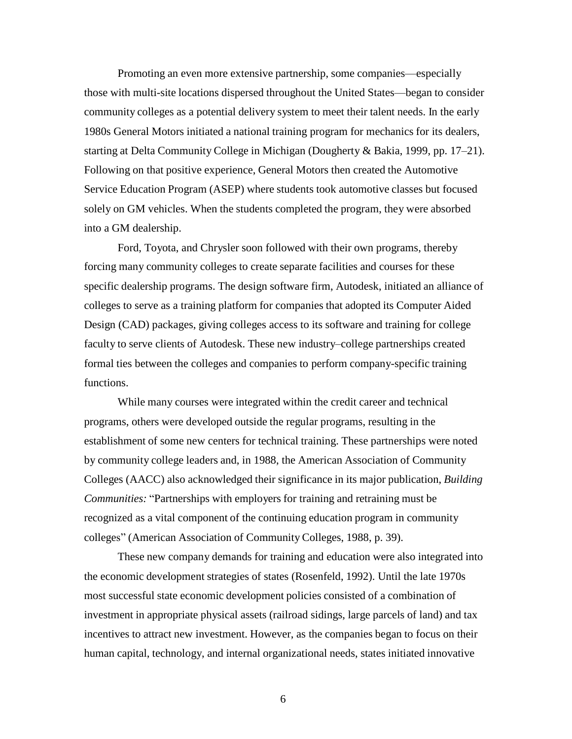Promoting an even more extensive partnership, some companies—especially those with multi-site locations dispersed throughout the United States—began to consider community colleges as a potential delivery system to meet their talent needs. In the early 1980s General Motors initiated a national training program for mechanics for its dealers, starting at Delta Community College in Michigan (Dougherty & Bakia, 1999, pp. 17–21). Following on that positive experience, General Motors then created the Automotive Service Education Program (ASEP) where students took automotive classes but focused solely on GM vehicles. When the students completed the program, they were absorbed into a GM dealership.

Ford, Toyota, and Chrysler soon followed with their own programs, thereby forcing many community colleges to create separate facilities and courses for these specific dealership programs. The design software firm, Autodesk, initiated an alliance of colleges to serve as a training platform for companies that adopted its Computer Aided Design (CAD) packages, giving colleges access to its software and training for college faculty to serve clients of Autodesk. These new industry–college partnerships created formal ties between the colleges and companies to perform company-specific training functions.

While many courses were integrated within the credit career and technical programs, others were developed outside the regular programs, resulting in the establishment of some new centers for technical training. These partnerships were noted by community college leaders and, in 1988, the American Association of Community Colleges (AACC) also acknowledged their significance in its major publication, *Building Communities:* "Partnerships with employers for training and retraining must be recognized as a vital component of the continuing education program in community colleges" (American Association of Community Colleges, 1988, p. 39).

These new company demands for training and education were also integrated into the economic development strategies of states (Rosenfeld, 1992). Until the late 1970s most successful state economic development policies consisted of a combination of investment in appropriate physical assets (railroad sidings, large parcels of land) and tax incentives to attract new investment. However, as the companies began to focus on their human capital, technology, and internal organizational needs, states initiated innovative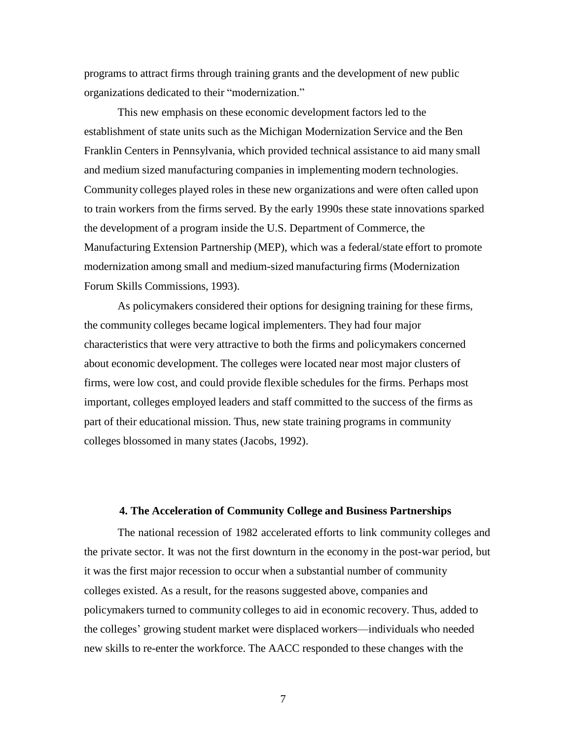programs to attract firms through training grants and the development of new public organizations dedicated to their "modernization."

This new emphasis on these economic development factors led to the establishment of state units such as the Michigan Modernization Service and the Ben Franklin Centers in Pennsylvania, which provided technical assistance to aid many small and medium sized manufacturing companies in implementing modern technologies. Community colleges played roles in these new organizations and were often called upon to train workers from the firms served. By the early 1990s these state innovations sparked the development of a program inside the U.S. Department of Commerce, the Manufacturing Extension Partnership (MEP), which was a federal/state effort to promote modernization among small and medium-sized manufacturing firms (Modernization Forum Skills Commissions, 1993).

As policymakers considered their options for designing training for these firms, the community colleges became logical implementers. They had four major characteristics that were very attractive to both the firms and policymakers concerned about economic development. The colleges were located near most major clusters of firms, were low cost, and could provide flexible schedules for the firms. Perhaps most important, colleges employed leaders and staff committed to the success of the firms as part of their educational mission. Thus, new state training programs in community colleges blossomed in many states (Jacobs, 1992).

## **4. The Acceleration of Community College and Business Partnerships**

The national recession of 1982 accelerated efforts to link community colleges and the private sector. It was not the first downturn in the economy in the post-war period, but it was the first major recession to occur when a substantial number of community colleges existed. As a result, for the reasons suggested above, companies and policymakers turned to community colleges to aid in economic recovery. Thus, added to the colleges' growing student market were displaced workers—individuals who needed new skills to re-enter the workforce. The AACC responded to these changes with the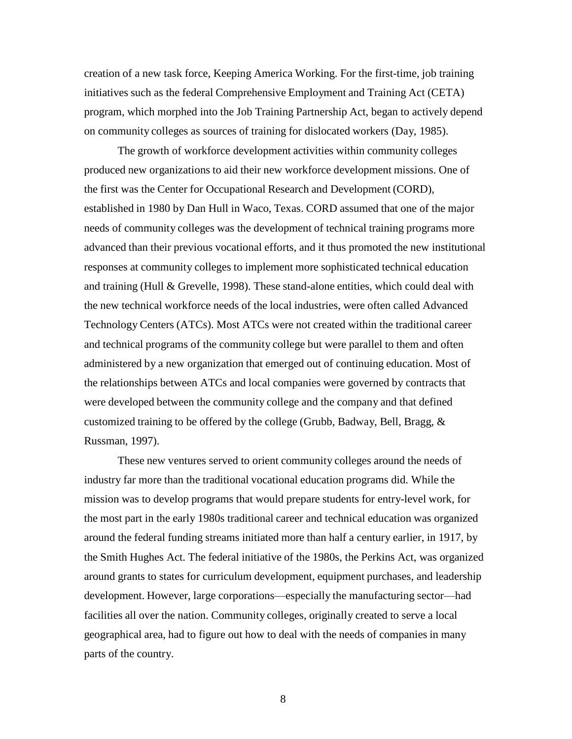creation of a new task force, Keeping America Working. For the first-time, job training initiatives such as the federal Comprehensive Employment and Training Act (CETA) program, which morphed into the Job Training Partnership Act, began to actively depend on community colleges as sources of training for dislocated workers (Day, 1985).

The growth of workforce development activities within community colleges produced new organizations to aid their new workforce development missions. One of the first was the Center for Occupational Research and Development (CORD), established in 1980 by Dan Hull in Waco, Texas. CORD assumed that one of the major needs of community colleges was the development of technical training programs more advanced than their previous vocational efforts, and it thus promoted the new institutional responses at community colleges to implement more sophisticated technical education and training (Hull & Grevelle, 1998). These stand-alone entities, which could deal with the new technical workforce needs of the local industries, were often called Advanced Technology Centers (ATCs). Most ATCs were not created within the traditional career and technical programs of the community college but were parallel to them and often administered by a new organization that emerged out of continuing education. Most of the relationships between ATCs and local companies were governed by contracts that were developed between the community college and the company and that defined customized training to be offered by the college (Grubb, Badway, Bell, Bragg, & Russman, 1997).

These new ventures served to orient community colleges around the needs of industry far more than the traditional vocational education programs did. While the mission was to develop programs that would prepare students for entry-level work, for the most part in the early 1980s traditional career and technical education was organized around the federal funding streams initiated more than half a century earlier, in 1917, by the Smith Hughes Act. The federal initiative of the 1980s, the Perkins Act, was organized around grants to states for curriculum development, equipment purchases, and leadership development. However, large corporations—especially the manufacturing sector—had facilities all over the nation. Community colleges, originally created to serve a local geographical area, had to figure out how to deal with the needs of companies in many parts of the country.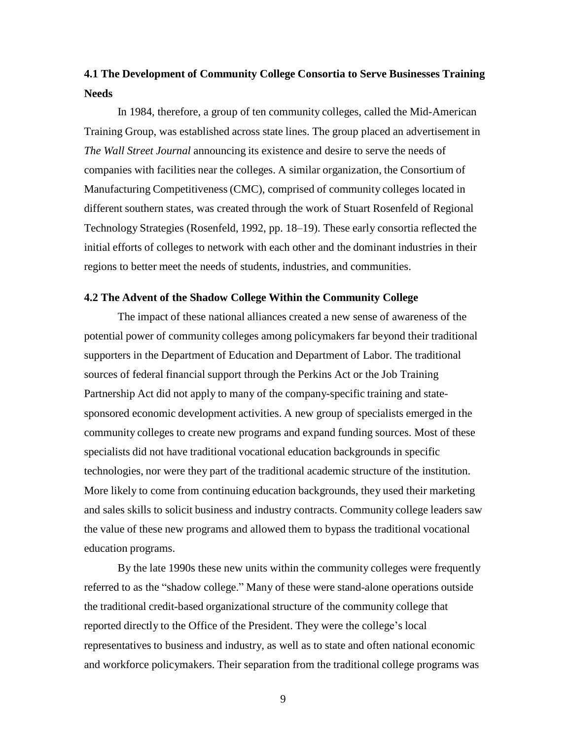# **4.1 The Development of Community College Consortia to Serve Businesses Training Needs**

In 1984, therefore, a group of ten community colleges, called the Mid-American Training Group, was established across state lines. The group placed an advertisement in *The Wall Street Journal* announcing its existence and desire to serve the needs of companies with facilities near the colleges. A similar organization, the Consortium of Manufacturing Competitiveness (CMC), comprised of community colleges located in different southern states, was created through the work of Stuart Rosenfeld of Regional Technology Strategies (Rosenfeld, 1992, pp. 18–19). These early consortia reflected the initial efforts of colleges to network with each other and the dominant industries in their regions to better meet the needs of students, industries, and communities.

## **4.2 The Advent of the Shadow College Within the Community College**

The impact of these national alliances created a new sense of awareness of the potential power of community colleges among policymakers far beyond their traditional supporters in the Department of Education and Department of Labor. The traditional sources of federal financial support through the Perkins Act or the Job Training Partnership Act did not apply to many of the company-specific training and statesponsored economic development activities. A new group of specialists emerged in the community colleges to create new programs and expand funding sources. Most of these specialists did not have traditional vocational education backgrounds in specific technologies, nor were they part of the traditional academic structure of the institution. More likely to come from continuing education backgrounds, they used their marketing and sales skills to solicit business and industry contracts. Community college leaders saw the value of these new programs and allowed them to bypass the traditional vocational education programs.

By the late 1990s these new units within the community colleges were frequently referred to as the "shadow college." Many of these were stand-alone operations outside the traditional credit-based organizational structure of the community college that reported directly to the Office of the President. They were the college's local representatives to business and industry, as well as to state and often national economic and workforce policymakers. Their separation from the traditional college programs was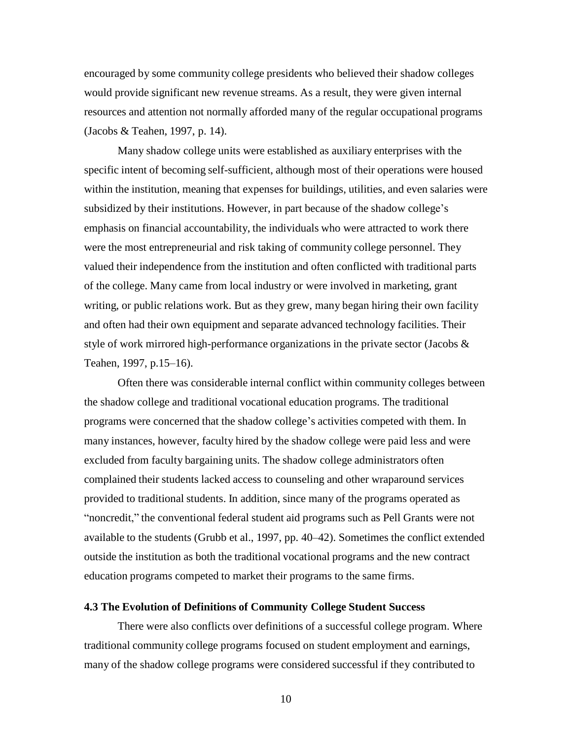encouraged by some community college presidents who believed their shadow colleges would provide significant new revenue streams. As a result, they were given internal resources and attention not normally afforded many of the regular occupational programs (Jacobs & Teahen, 1997, p. 14).

Many shadow college units were established as auxiliary enterprises with the specific intent of becoming self-sufficient, although most of their operations were housed within the institution, meaning that expenses for buildings, utilities, and even salaries were subsidized by their institutions. However, in part because of the shadow college's emphasis on financial accountability, the individuals who were attracted to work there were the most entrepreneurial and risk taking of community college personnel. They valued their independence from the institution and often conflicted with traditional parts of the college. Many came from local industry or were involved in marketing, grant writing, or public relations work. But as they grew, many began hiring their own facility and often had their own equipment and separate advanced technology facilities. Their style of work mirrored high-performance organizations in the private sector (Jacobs  $\&$ Teahen, 1997, p.15–16).

Often there was considerable internal conflict within community colleges between the shadow college and traditional vocational education programs. The traditional programs were concerned that the shadow college's activities competed with them. In many instances, however, faculty hired by the shadow college were paid less and were excluded from faculty bargaining units. The shadow college administrators often complained their students lacked access to counseling and other wraparound services provided to traditional students. In addition, since many of the programs operated as "noncredit," the conventional federal student aid programs such as Pell Grants were not available to the students (Grubb et al., 1997, pp. 40–42). Sometimes the conflict extended outside the institution as both the traditional vocational programs and the new contract education programs competed to market their programs to the same firms.

## **4.3 The Evolution of Definitions of Community College Student Success**

There were also conflicts over definitions of a successful college program. Where traditional community college programs focused on student employment and earnings, many of the shadow college programs were considered successful if they contributed to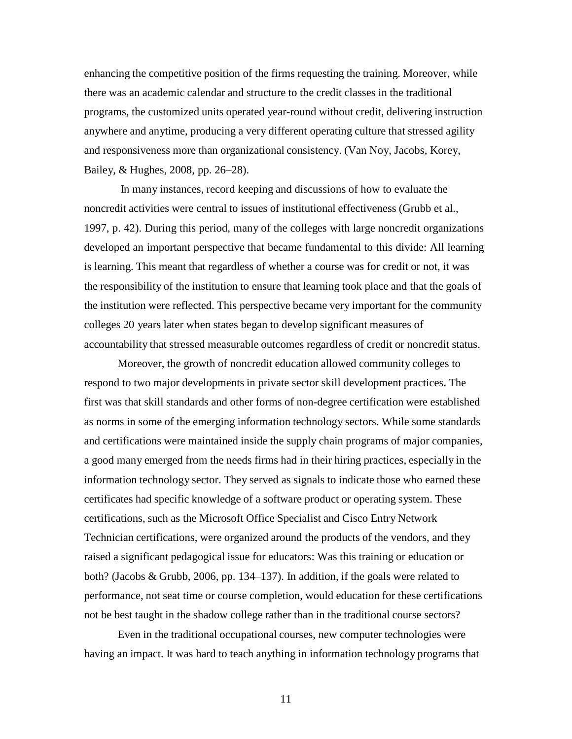enhancing the competitive position of the firms requesting the training. Moreover, while there was an academic calendar and structure to the credit classes in the traditional programs, the customized units operated year-round without credit, delivering instruction anywhere and anytime, producing a very different operating culture that stressed agility and responsiveness more than organizational consistency. (Van Noy, Jacobs, Korey, Bailey, & Hughes, 2008, pp. 26–28).

In many instances, record keeping and discussions of how to evaluate the noncredit activities were central to issues of institutional effectiveness (Grubb et al., 1997, p. 42). During this period, many of the colleges with large noncredit organizations developed an important perspective that became fundamental to this divide: All learning is learning. This meant that regardless of whether a course was for credit or not, it was the responsibility of the institution to ensure that learning took place and that the goals of the institution were reflected. This perspective became very important for the community colleges 20 years later when states began to develop significant measures of accountability that stressed measurable outcomes regardless of credit or noncredit status.

Moreover, the growth of noncredit education allowed community colleges to respond to two major developments in private sector skill development practices. The first was that skill standards and other forms of non-degree certification were established as norms in some of the emerging information technology sectors. While some standards and certifications were maintained inside the supply chain programs of major companies, a good many emerged from the needs firms had in their hiring practices, especially in the information technology sector. They served as signals to indicate those who earned these certificates had specific knowledge of a software product or operating system. These certifications, such as the Microsoft Office Specialist and Cisco Entry Network Technician certifications, were organized around the products of the vendors, and they raised a significant pedagogical issue for educators: Was this training or education or both? (Jacobs & Grubb, 2006, pp. 134–137). In addition, if the goals were related to performance, not seat time or course completion, would education for these certifications not be best taught in the shadow college rather than in the traditional course sectors?

Even in the traditional occupational courses, new computer technologies were having an impact. It was hard to teach anything in information technology programs that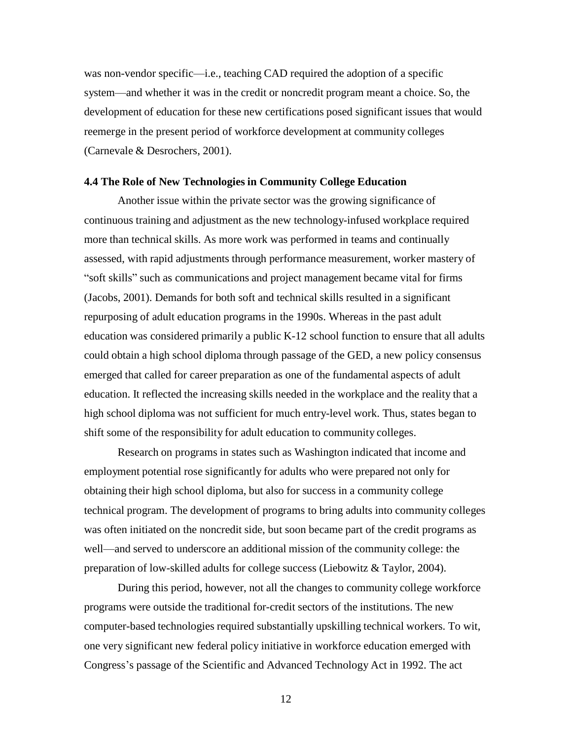was non-vendor specific—i.e., teaching CAD required the adoption of a specific system—and whether it was in the credit or noncredit program meant a choice. So, the development of education for these new certifications posed significant issues that would reemerge in the present period of workforce development at community colleges (Carnevale & Desrochers, 2001).

#### **4.4 The Role of New Technologies in Community College Education**

Another issue within the private sector was the growing significance of continuous training and adjustment as the new technology-infused workplace required more than technical skills. As more work was performed in teams and continually assessed, with rapid adjustments through performance measurement, worker mastery of "soft skills" such as communications and project management became vital for firms (Jacobs, 2001). Demands for both soft and technical skills resulted in a significant repurposing of adult education programs in the 1990s. Whereas in the past adult education was considered primarily a public K-12 school function to ensure that all adults could obtain a high school diploma through passage of the GED, a new policy consensus emerged that called for career preparation as one of the fundamental aspects of adult education. It reflected the increasing skills needed in the workplace and the reality that a high school diploma was not sufficient for much entry-level work. Thus, states began to shift some of the responsibility for adult education to community colleges.

Research on programs in states such as Washington indicated that income and employment potential rose significantly for adults who were prepared not only for obtaining their high school diploma, but also for success in a community college technical program. The development of programs to bring adults into community colleges was often initiated on the noncredit side, but soon became part of the credit programs as well—and served to underscore an additional mission of the community college: the preparation of low-skilled adults for college success (Liebowitz & Taylor, 2004).

During this period, however, not all the changes to community college workforce programs were outside the traditional for-credit sectors of the institutions. The new computer-based technologies required substantially upskilling technical workers. To wit, one very significant new federal policy initiative in workforce education emerged with Congress's passage of the Scientific and Advanced Technology Act in 1992. The act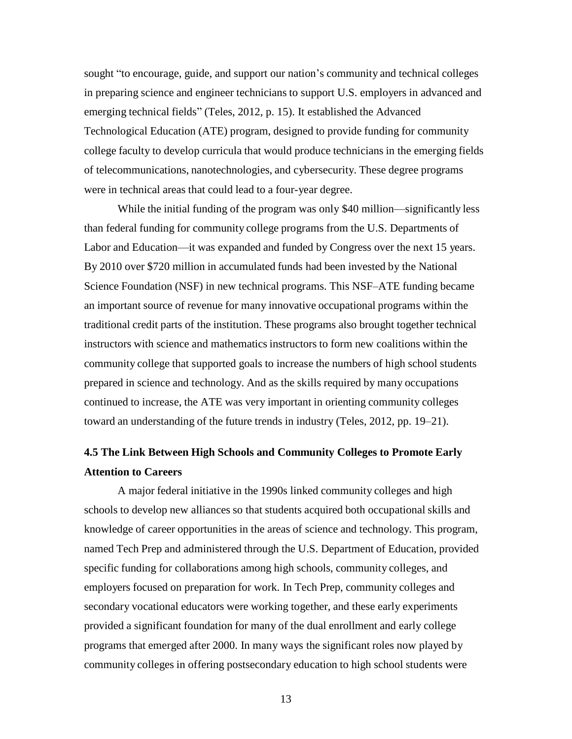sought "to encourage, guide, and support our nation's community and technical colleges in preparing science and engineer technicians to support U.S. employers in advanced and emerging technical fields" (Teles, 2012, p. 15). It established the Advanced Technological Education (ATE) program, designed to provide funding for community college faculty to develop curricula that would produce technicians in the emerging fields of telecommunications, nanotechnologies, and cybersecurity. These degree programs were in technical areas that could lead to a four-year degree.

While the initial funding of the program was only \$40 million—significantly less than federal funding for community college programs from the U.S. Departments of Labor and Education—it was expanded and funded by Congress over the next 15 years. By 2010 over \$720 million in accumulated funds had been invested by the National Science Foundation (NSF) in new technical programs. This NSF–ATE funding became an important source of revenue for many innovative occupational programs within the traditional credit parts of the institution. These programs also brought together technical instructors with science and mathematics instructors to form new coalitions within the community college that supported goals to increase the numbers of high school students prepared in science and technology. And as the skills required by many occupations continued to increase, the ATE was very important in orienting community colleges toward an understanding of the future trends in industry (Teles, 2012, pp. 19–21).

# **4.5 The Link Between High Schools and Community Colleges to Promote Early Attention to Careers**

A major federal initiative in the 1990s linked community colleges and high schools to develop new alliances so that students acquired both occupational skills and knowledge of career opportunities in the areas of science and technology. This program, named Tech Prep and administered through the U.S. Department of Education, provided specific funding for collaborations among high schools, community colleges, and employers focused on preparation for work. In Tech Prep, community colleges and secondary vocational educators were working together, and these early experiments provided a significant foundation for many of the dual enrollment and early college programs that emerged after 2000. In many ways the significant roles now played by community colleges in offering postsecondary education to high school students were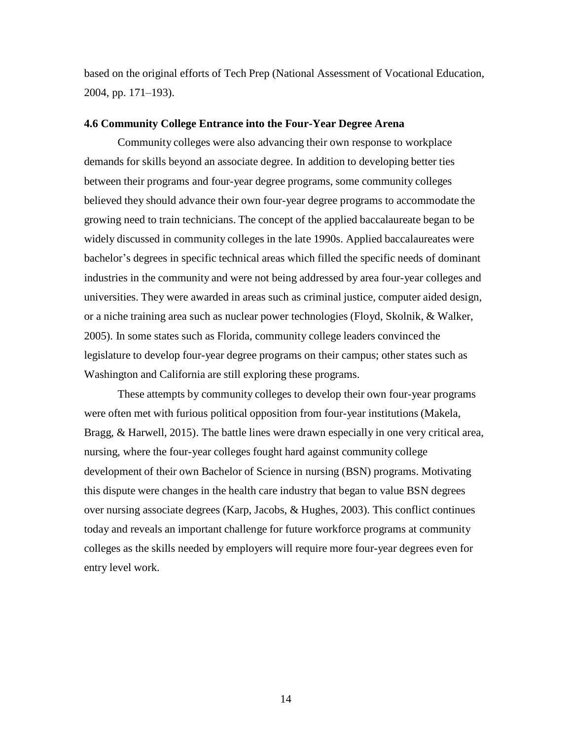based on the original efforts of Tech Prep (National Assessment of Vocational Education, 2004, pp. 171–193).

#### **4.6 Community College Entrance into the Four-Year Degree Arena**

Community colleges were also advancing their own response to workplace demands for skills beyond an associate degree. In addition to developing better ties between their programs and four-year degree programs, some community colleges believed they should advance their own four-year degree programs to accommodate the growing need to train technicians. The concept of the applied baccalaureate began to be widely discussed in community colleges in the late 1990s. Applied baccalaureates were bachelor's degrees in specific technical areas which filled the specific needs of dominant industries in the community and were not being addressed by area four-year colleges and universities. They were awarded in areas such as criminal justice, computer aided design, or a niche training area such as nuclear power technologies (Floyd, Skolnik, & Walker, 2005). In some states such as Florida, community college leaders convinced the legislature to develop four-year degree programs on their campus; other states such as Washington and California are still exploring these programs.

These attempts by community colleges to develop their own four-year programs were often met with furious political opposition from four-year institutions (Makela, Bragg, & Harwell, 2015). The battle lines were drawn especially in one very critical area, nursing, where the four-year colleges fought hard against community college development of their own Bachelor of Science in nursing (BSN) programs. Motivating this dispute were changes in the health care industry that began to value BSN degrees over nursing associate degrees (Karp, Jacobs, & Hughes, 2003). This conflict continues today and reveals an important challenge for future workforce programs at community colleges as the skills needed by employers will require more four-year degrees even for entry level work.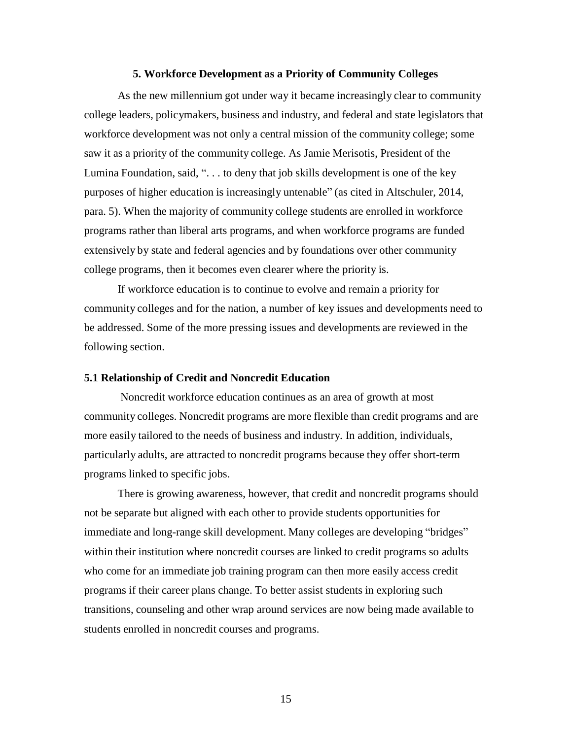#### **5. Workforce Development as a Priority of Community Colleges**

As the new millennium got under way it became increasingly clear to community college leaders, policymakers, business and industry, and federal and state legislators that workforce development was not only a central mission of the community college; some saw it as a priority of the community college. As Jamie Merisotis, President of the Lumina Foundation, said, ". . . to deny that job skills development is one of the key purposes of higher education is increasingly untenable" (as cited in Altschuler, 2014, para. 5). When the majority of community college students are enrolled in workforce programs rather than liberal arts programs, and when workforce programs are funded extensively by state and federal agencies and by foundations over other community college programs, then it becomes even clearer where the priority is.

If workforce education is to continue to evolve and remain a priority for community colleges and for the nation, a number of key issues and developments need to be addressed. Some of the more pressing issues and developments are reviewed in the following section.

## **5.1 Relationship of Credit and Noncredit Education**

Noncredit workforce education continues as an area of growth at most community colleges. Noncredit programs are more flexible than credit programs and are more easily tailored to the needs of business and industry. In addition, individuals, particularly adults, are attracted to noncredit programs because they offer short-term programs linked to specific jobs.

There is growing awareness, however, that credit and noncredit programs should not be separate but aligned with each other to provide students opportunities for immediate and long-range skill development. Many colleges are developing "bridges" within their institution where noncredit courses are linked to credit programs so adults who come for an immediate job training program can then more easily access credit programs if their career plans change. To better assist students in exploring such transitions, counseling and other wrap around services are now being made available to students enrolled in noncredit courses and programs.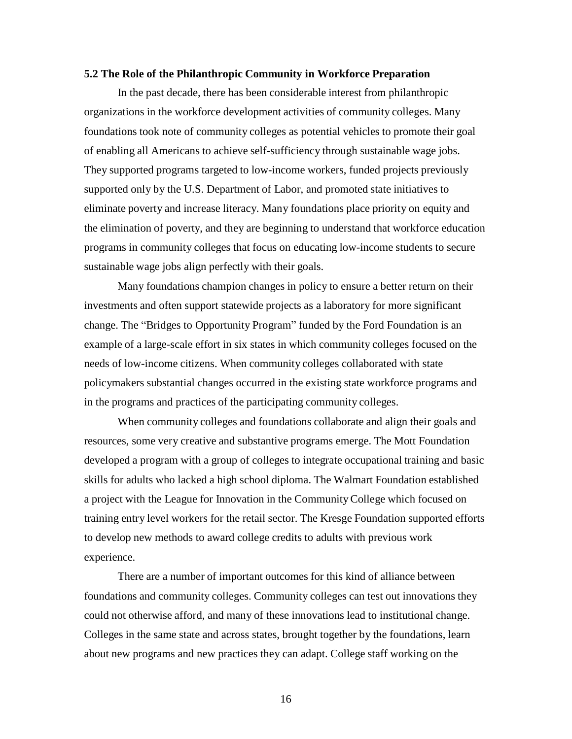#### **5.2 The Role of the Philanthropic Community in Workforce Preparation**

In the past decade, there has been considerable interest from philanthropic organizations in the workforce development activities of community colleges. Many foundations took note of community colleges as potential vehicles to promote their goal of enabling all Americans to achieve self-sufficiency through sustainable wage jobs. They supported programs targeted to low-income workers, funded projects previously supported only by the U.S. Department of Labor, and promoted state initiatives to eliminate poverty and increase literacy. Many foundations place priority on equity and the elimination of poverty, and they are beginning to understand that workforce education programs in community colleges that focus on educating low-income students to secure sustainable wage jobs align perfectly with their goals.

Many foundations champion changes in policy to ensure a better return on their investments and often support statewide projects as a laboratory for more significant change. The "Bridges to Opportunity Program" funded by the Ford Foundation is an example of a large-scale effort in six states in which community colleges focused on the needs of low-income citizens. When community colleges collaborated with state policymakers substantial changes occurred in the existing state workforce programs and in the programs and practices of the participating community colleges.

When community colleges and foundations collaborate and align their goals and resources, some very creative and substantive programs emerge. The Mott Foundation developed a program with a group of colleges to integrate occupational training and basic skills for adults who lacked a high school diploma. The Walmart Foundation established a project with the League for Innovation in the CommunityCollege which focused on training entry level workers for the retail sector. The Kresge Foundation supported efforts to develop new methods to award college credits to adults with previous work experience.

There are a number of important outcomes for this kind of alliance between foundations and community colleges. Community colleges can test out innovations they could not otherwise afford, and many of these innovations lead to institutional change. Colleges in the same state and across states, brought together by the foundations, learn about new programs and new practices they can adapt. College staff working on the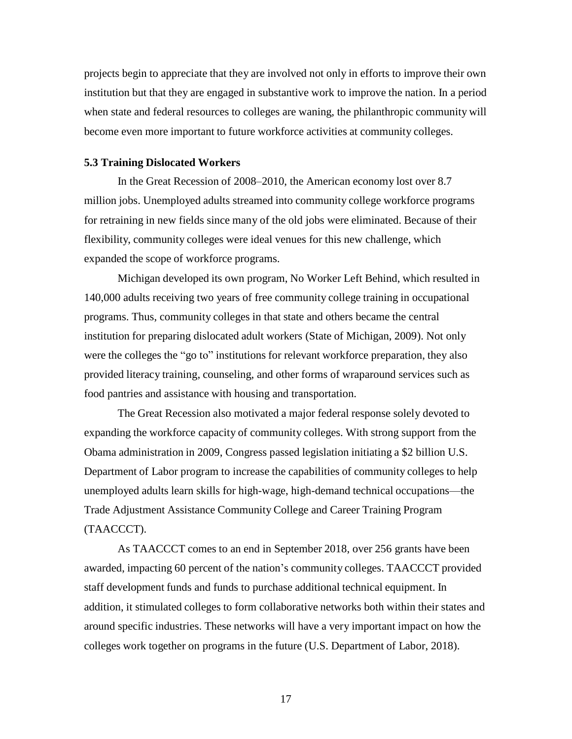projects begin to appreciate that they are involved not only in efforts to improve their own institution but that they are engaged in substantive work to improve the nation. In a period when state and federal resources to colleges are waning, the philanthropic community will become even more important to future workforce activities at community colleges.

#### **5.3 Training Dislocated Workers**

In the Great Recession of 2008–2010, the American economy lost over 8.7 million jobs. Unemployed adults streamed into community college workforce programs for retraining in new fields since many of the old jobs were eliminated. Because of their flexibility, community colleges were ideal venues for this new challenge, which expanded the scope of workforce programs.

Michigan developed its own program, No Worker Left Behind, which resulted in 140,000 adults receiving two years of free community college training in occupational programs. Thus, community colleges in that state and others became the central institution for preparing dislocated adult workers (State of Michigan, 2009). Not only were the colleges the "go to" institutions for relevant workforce preparation, they also provided literacy training, counseling, and other forms of wraparound services such as food pantries and assistance with housing and transportation.

The Great Recession also motivated a major federal response solely devoted to expanding the workforce capacity of community colleges. With strong support from the Obama administration in 2009, Congress passed legislation initiating a \$2 billion U.S. Department of Labor program to increase the capabilities of community colleges to help unemployed adults learn skills for high-wage, high-demand technical occupations—the Trade Adjustment Assistance Community College and Career Training Program (TAACCCT).

As TAACCCT comes to an end in September 2018, over 256 grants have been awarded, impacting 60 percent of the nation's community colleges. TAACCCT provided staff development funds and funds to purchase additional technical equipment. In addition, it stimulated colleges to form collaborative networks both within their states and around specific industries. These networks will have a very important impact on how the colleges work together on programs in the future (U.S. Department of Labor, 2018).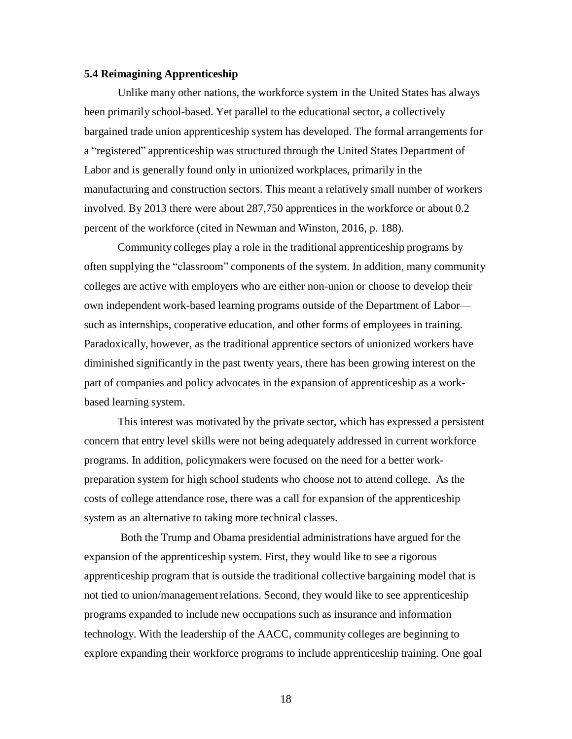## **5.4 Reimagining Apprenticeship**

Unlike many other nations, the workforce system in the United States has always been primarily school-based. Yet parallel to the educational sector, a collectively bargained trade union apprenticeship system has developed. The formal arrangements for a "registered" apprenticeship was structured through the United States Department of Labor and is generally found only in unionized workplaces, primarily in the manufacturing and construction sectors. This meant a relatively small number of workers involved. By 2013 there were about 287,750 apprentices in the workforce or about 0.2 percent of the workforce (cited in Newman and Winston, 2016, p. 188).

Community colleges play a role in the traditional apprenticeship programs by often supplying the "classroom" components of the system. In addition, many community colleges are active with employers who are either non-union or choose to develop their own independent work-based learning programs outside of the Department of Labor such as internships, cooperative education, and other forms of employees in training. Paradoxically, however, as the traditional apprentice sectors of unionized workers have diminished significantly in the past twenty years, there has been growing interest on the part of companies and policy advocates in the expansion of apprenticeship as a workbased learning system.

This interest was motivated by the private sector, which has expressed a persistent concern that entry level skills were not being adequately addressed in current workforce programs. In addition, policymakers were focused on the need for a better workpreparation system for high school students who choose not to attend college. As the costs of college attendance rose, there was a call for expansion of the apprenticeship system as an alternative to taking more technical classes.

Both the Trump and Obama presidential administrations have argued for the expansion of the apprenticeship system. First, they would like to see a rigorous apprenticeship program that is outside the traditional collective bargaining model that is not tied to union/management relations. Second, they would like to see apprenticeship programs expanded to include new occupations such as insurance and information technology. With the leadership of the AACC, community colleges are beginning to explore expanding their workforce programs to include apprenticeship training. One goal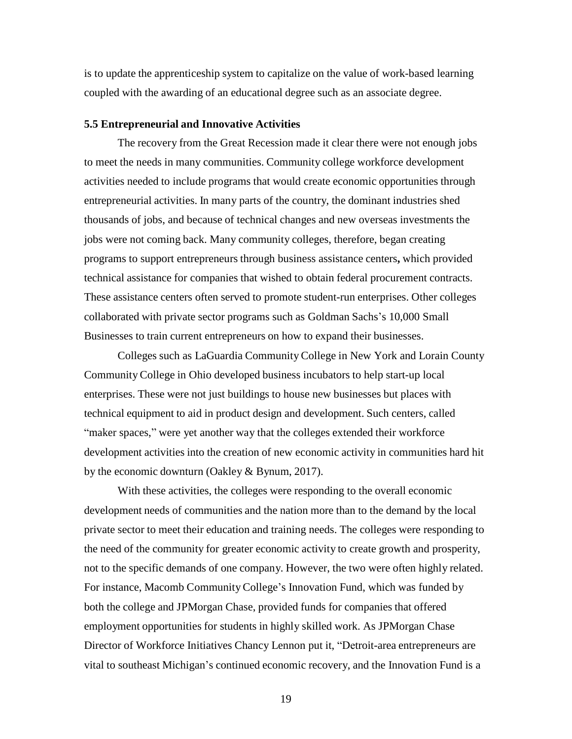is to update the apprenticeship system to capitalize on the value of work-based learning coupled with the awarding of an educational degree such as an associate degree.

#### **5.5 Entrepreneurial and Innovative Activities**

The recovery from the Great Recession made it clear there were not enough jobs to meet the needs in many communities. Community college workforce development activities needed to include programs that would create economic opportunities through entrepreneurial activities. In many parts of the country, the dominant industries shed thousands of jobs, and because of technical changes and new overseas investments the jobs were not coming back. Many community colleges, therefore, began creating programs to support entrepreneurs through business assistance centers**,** which provided technical assistance for companies that wished to obtain federal procurement contracts. These assistance centers often served to promote student-run enterprises. Other colleges collaborated with private sector programs such as Goldman Sachs's 10,000 Small Businesses to train current entrepreneurs on how to expand their businesses.

Colleges such as LaGuardia CommunityCollege in New York and Lorain County CommunityCollege in Ohio developed business incubators to help start-up local enterprises. These were not just buildings to house new businesses but places with technical equipment to aid in product design and development. Such centers, called "maker spaces," were yet another way that the colleges extended their workforce development activities into the creation of new economic activity in communities hard hit by the economic downturn (Oakley & Bynum, 2017).

With these activities, the colleges were responding to the overall economic development needs of communities and the nation more than to the demand by the local private sector to meet their education and training needs. The colleges were responding to the need of the community for greater economic activity to create growth and prosperity, not to the specific demands of one company. However, the two were often highly related. For instance, Macomb CommunityCollege's Innovation Fund, which was funded by both the college and JPMorgan Chase, provided funds for companies that offered employment opportunities for students in highly skilled work. As JPMorgan Chase Director of Workforce Initiatives Chancy Lennon put it, "Detroit-area entrepreneurs are vital to southeast Michigan's continued economic recovery, and the Innovation Fund is a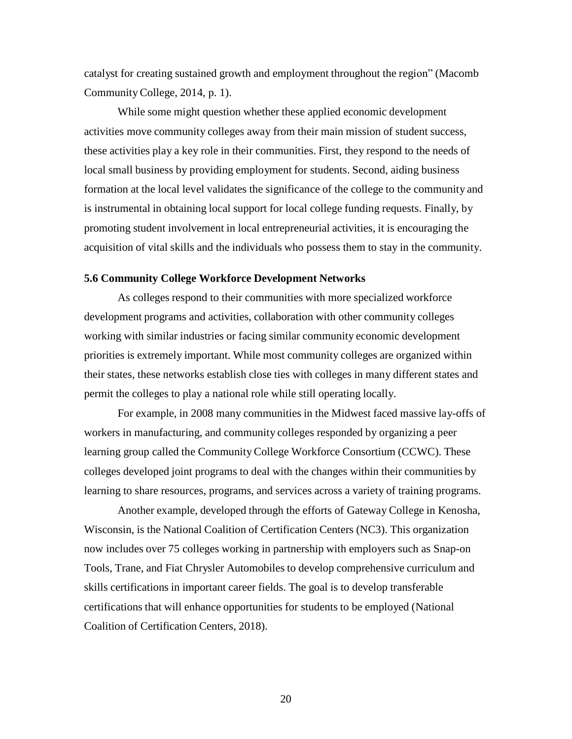catalyst for creating sustained growth and employment throughout the region" (Macomb CommunityCollege, 2014, p. 1).

While some might question whether these applied economic development activities move community colleges away from their main mission of student success, these activities play a key role in their communities. First, they respond to the needs of local small business by providing employment for students. Second, aiding business formation at the local level validates the significance of the college to the community and is instrumental in obtaining local support for local college funding requests. Finally, by promoting student involvement in local entrepreneurial activities, it is encouraging the acquisition of vital skills and the individuals who possess them to stay in the community.

#### **5.6 Community College Workforce Development Networks**

As colleges respond to their communities with more specialized workforce development programs and activities, collaboration with other community colleges working with similar industries or facing similar community economic development priorities is extremely important. While most community colleges are organized within their states, these networks establish close ties with colleges in many different states and permit the colleges to play a national role while still operating locally.

For example, in 2008 many communities in the Midwest faced massive lay-offs of workers in manufacturing, and community colleges responded by organizing a peer learning group called the CommunityCollege Workforce Consortium (CCWC). These colleges developed joint programs to deal with the changes within their communities by learning to share resources, programs, and services across a variety of training programs.

Another example, developed through the efforts of Gateway College in Kenosha, Wisconsin, is the National Coalition of Certification Centers (NC3). This organization now includes over 75 colleges working in partnership with employers such as Snap-on Tools, Trane, and Fiat Chrysler Automobiles to develop comprehensive curriculum and skills certifications in important career fields. The goal is to develop transferable certifications that will enhance opportunities for students to be employed (National Coalition of Certification Centers, 2018).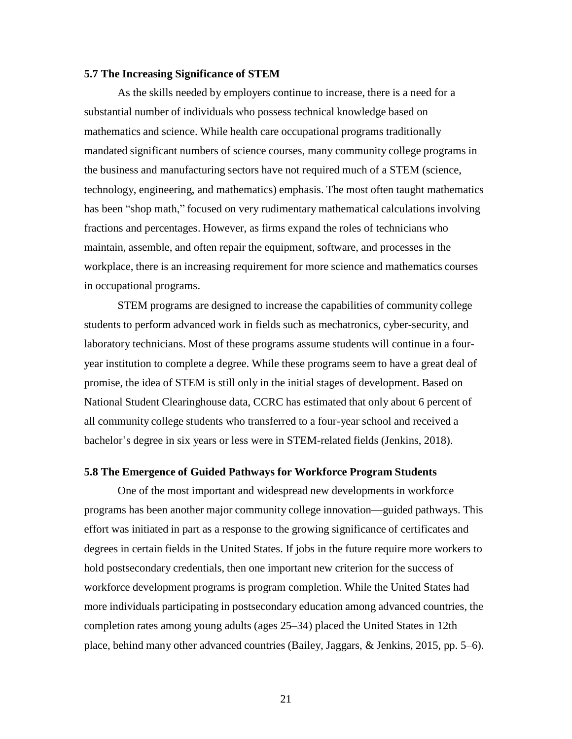## **5.7 The Increasing Significance of STEM**

As the skills needed by employers continue to increase, there is a need for a substantial number of individuals who possess technical knowledge based on mathematics and science. While health care occupational programs traditionally mandated significant numbers of science courses, many community college programs in the business and manufacturing sectors have not required much of a STEM (science, technology, engineering, and mathematics) emphasis. The most often taught mathematics has been "shop math," focused on very rudimentary mathematical calculations involving fractions and percentages. However, as firms expand the roles of technicians who maintain, assemble, and often repair the equipment, software, and processes in the workplace, there is an increasing requirement for more science and mathematics courses in occupational programs.

STEM programs are designed to increase the capabilities of community college students to perform advanced work in fields such as mechatronics, cyber-security, and laboratory technicians. Most of these programs assume students will continue in a fouryear institution to complete a degree. While these programs seem to have a great deal of promise, the idea of STEM is still only in the initial stages of development. Based on National Student Clearinghouse data, CCRC has estimated that only about 6 percent of all community college students who transferred to a four-year school and received a bachelor's degree in six years or less were in STEM-related fields (Jenkins, 2018).

## **5.8 The Emergence of Guided Pathways for Workforce Program Students**

One of the most important and widespread new developments in workforce programs has been another major community college innovation—guided pathways. This effort was initiated in part as a response to the growing significance of certificates and degrees in certain fields in the United States. If jobs in the future require more workers to hold postsecondary credentials, then one important new criterion for the success of workforce development programs is program completion. While the United States had more individuals participating in postsecondary education among advanced countries, the completion rates among young adults (ages 25–34) placed the United States in 12th place, behind many other advanced countries (Bailey, Jaggars, & Jenkins, 2015, pp. 5–6).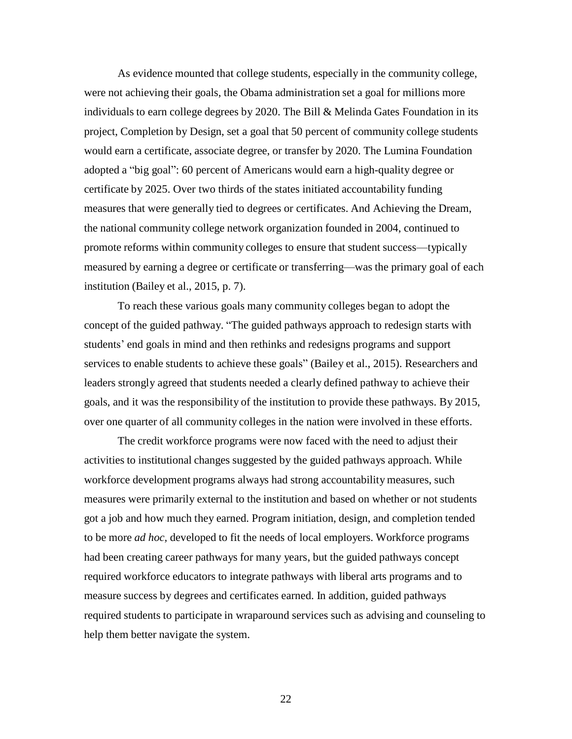As evidence mounted that college students, especially in the community college, were not achieving their goals, the Obama administration set a goal for millions more individuals to earn college degrees by 2020. The Bill  $&$  Melinda Gates Foundation in its project, Completion by Design, set a goal that 50 percent of community college students would earn a certificate, associate degree, or transfer by 2020. The Lumina Foundation adopted a "big goal": 60 percent of Americans would earn a high-quality degree or certificate by 2025. Over two thirds of the states initiated accountability funding measures that were generally tied to degrees or certificates. And Achieving the Dream, the national community college network organization founded in 2004, continued to promote reforms within community colleges to ensure that student success—typically measured by earning a degree or certificate or transferring—was the primary goal of each institution (Bailey et al., 2015, p. 7).

To reach these various goals many community colleges began to adopt the concept of the guided pathway. "The guided pathways approach to redesign starts with students' end goals in mind and then rethinks and redesigns programs and support services to enable students to achieve these goals" (Bailey et al., 2015). Researchers and leaders strongly agreed that students needed a clearly defined pathway to achieve their goals, and it was the responsibility of the institution to provide these pathways. By 2015, over one quarter of all community colleges in the nation were involved in these efforts.

The credit workforce programs were now faced with the need to adjust their activities to institutional changes suggested by the guided pathways approach. While workforce development programs always had strong accountability measures, such measures were primarily external to the institution and based on whether or not students got a job and how much they earned. Program initiation, design, and completion tended to be more *ad hoc,* developed to fit the needs of local employers. Workforce programs had been creating career pathways for many years, but the guided pathways concept required workforce educators to integrate pathways with liberal arts programs and to measure success by degrees and certificates earned. In addition, guided pathways required students to participate in wraparound services such as advising and counseling to help them better navigate the system.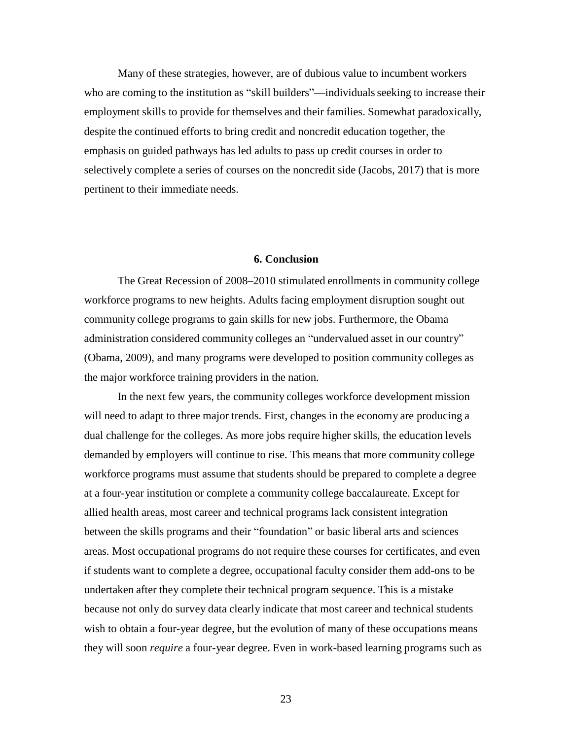Many of these strategies, however, are of dubious value to incumbent workers who are coming to the institution as "skill builders"—individuals seeking to increase their employment skills to provide for themselves and their families. Somewhat paradoxically, despite the continued efforts to bring credit and noncredit education together, the emphasis on guided pathways has led adults to pass up credit courses in order to selectively complete a series of courses on the noncredit side (Jacobs, 2017) that is more pertinent to their immediate needs.

#### **6. Conclusion**

The Great Recession of 2008–2010 stimulated enrollments in community college workforce programs to new heights. Adults facing employment disruption sought out community college programs to gain skills for new jobs. Furthermore, the Obama administration considered community colleges an "undervalued asset in our country" (Obama, 2009), and many programs were developed to position community colleges as the major workforce training providers in the nation.

In the next few years, the community colleges workforce development mission will need to adapt to three major trends. First, changes in the economy are producing a dual challenge for the colleges. As more jobs require higher skills, the education levels demanded by employers will continue to rise. This means that more community college workforce programs must assume that students should be prepared to complete a degree at a four-year institution or complete a community college baccalaureate. Except for allied health areas, most career and technical programs lack consistent integration between the skills programs and their "foundation" or basic liberal arts and sciences areas. Most occupational programs do not require these courses for certificates, and even if students want to complete a degree, occupational faculty consider them add-ons to be undertaken after they complete their technical program sequence. This is a mistake because not only do survey data clearly indicate that most career and technical students wish to obtain a four-year degree, but the evolution of many of these occupations means they will soon *require* a four-year degree. Even in work-based learning programs such as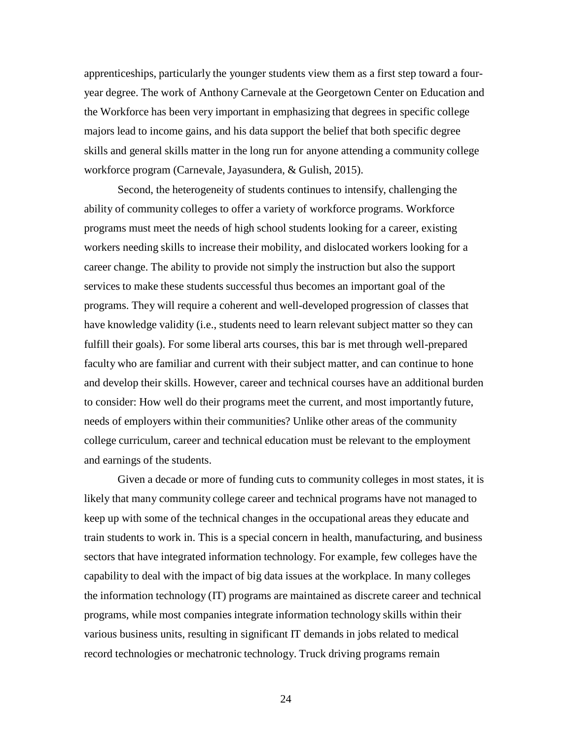apprenticeships, particularly the younger students view them as a first step toward a fouryear degree. The work of Anthony Carnevale at the Georgetown Center on Education and the Workforce has been very important in emphasizing that degrees in specific college majors lead to income gains, and his data support the belief that both specific degree skills and general skills matter in the long run for anyone attending a community college workforce program (Carnevale, Jayasundera, & Gulish, 2015).

Second, the heterogeneity of students continues to intensify, challenging the ability of community colleges to offer a variety of workforce programs. Workforce programs must meet the needs of high school students looking for a career, existing workers needing skills to increase their mobility, and dislocated workers looking for a career change. The ability to provide not simply the instruction but also the support services to make these students successful thus becomes an important goal of the programs. They will require a coherent and well-developed progression of classes that have knowledge validity (i.e., students need to learn relevant subject matter so they can fulfill their goals). For some liberal arts courses, this bar is met through well-prepared faculty who are familiar and current with their subject matter, and can continue to hone and develop their skills. However, career and technical courses have an additional burden to consider: How well do their programs meet the current, and most importantly future, needs of employers within their communities? Unlike other areas of the community college curriculum, career and technical education must be relevant to the employment and earnings of the students.

Given a decade or more of funding cuts to community colleges in most states, it is likely that many community college career and technical programs have not managed to keep up with some of the technical changes in the occupational areas they educate and train students to work in. This is a special concern in health, manufacturing, and business sectors that have integrated information technology. For example, few colleges have the capability to deal with the impact of big data issues at the workplace. In many colleges the information technology (IT) programs are maintained as discrete career and technical programs, while most companies integrate information technology skills within their various business units, resulting in significant IT demands in jobs related to medical record technologies or mechatronic technology. Truck driving programs remain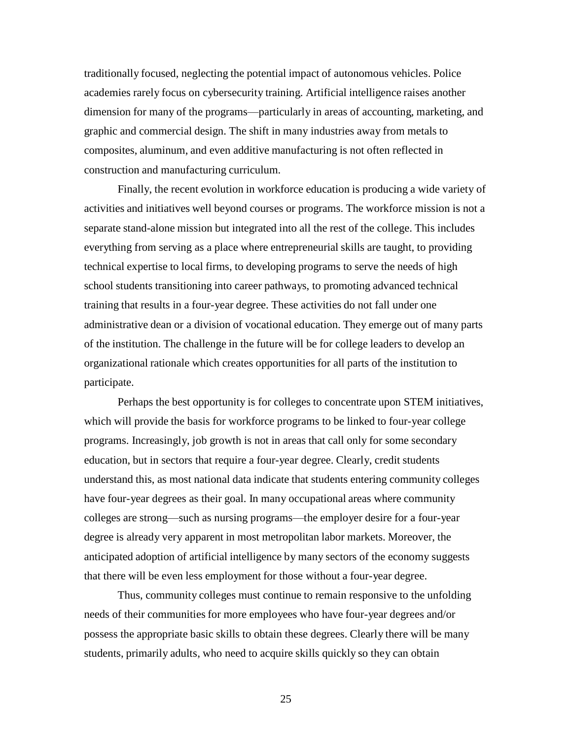traditionally focused, neglecting the potential impact of autonomous vehicles. Police academies rarely focus on cybersecurity training. Artificial intelligence raises another dimension for many of the programs—particularly in areas of accounting, marketing, and graphic and commercial design. The shift in many industries away from metals to composites, aluminum, and even additive manufacturing is not often reflected in construction and manufacturing curriculum.

Finally, the recent evolution in workforce education is producing a wide variety of activities and initiatives well beyond courses or programs. The workforce mission is not a separate stand-alone mission but integrated into all the rest of the college. This includes everything from serving as a place where entrepreneurial skills are taught, to providing technical expertise to local firms, to developing programs to serve the needs of high school students transitioning into career pathways, to promoting advanced technical training that results in a four-year degree. These activities do not fall under one administrative dean or a division of vocational education. They emerge out of many parts of the institution. The challenge in the future will be for college leaders to develop an organizational rationale which creates opportunities for all parts of the institution to participate.

Perhaps the best opportunity is for colleges to concentrate upon STEM initiatives, which will provide the basis for workforce programs to be linked to four-year college programs. Increasingly, job growth is not in areas that call only for some secondary education, but in sectors that require a four-year degree. Clearly, credit students understand this, as most national data indicate that students entering community colleges have four-year degrees as their goal. In many occupational areas where community colleges are strong—such as nursing programs—the employer desire for a four-year degree is already very apparent in most metropolitan labor markets. Moreover, the anticipated adoption of artificial intelligence by many sectors of the economy suggests that there will be even less employment for those without a four-year degree.

Thus, community colleges must continue to remain responsive to the unfolding needs of their communities for more employees who have four-year degrees and/or possess the appropriate basic skills to obtain these degrees. Clearly there will be many students, primarily adults, who need to acquire skills quickly so they can obtain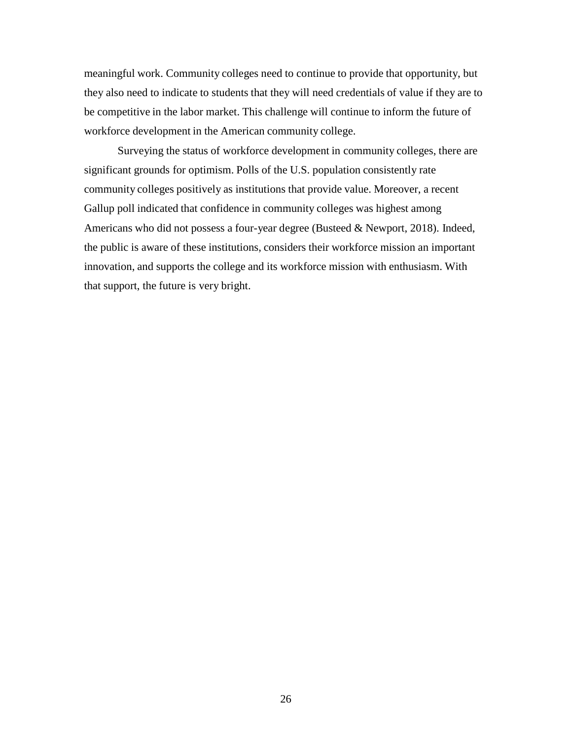meaningful work. Community colleges need to continue to provide that opportunity, but they also need to indicate to students that they will need credentials of value if they are to be competitive in the labor market. This challenge will continue to inform the future of workforce development in the American community college.

Surveying the status of workforce development in community colleges, there are significant grounds for optimism. Polls of the U.S. population consistently rate community colleges positively as institutions that provide value. Moreover, a recent Gallup poll indicated that confidence in community colleges was highest among Americans who did not possess a four-year degree (Busteed & Newport, 2018). Indeed, the public is aware of these institutions, considers their workforce mission an important innovation, and supports the college and its workforce mission with enthusiasm. With that support, the future is very bright.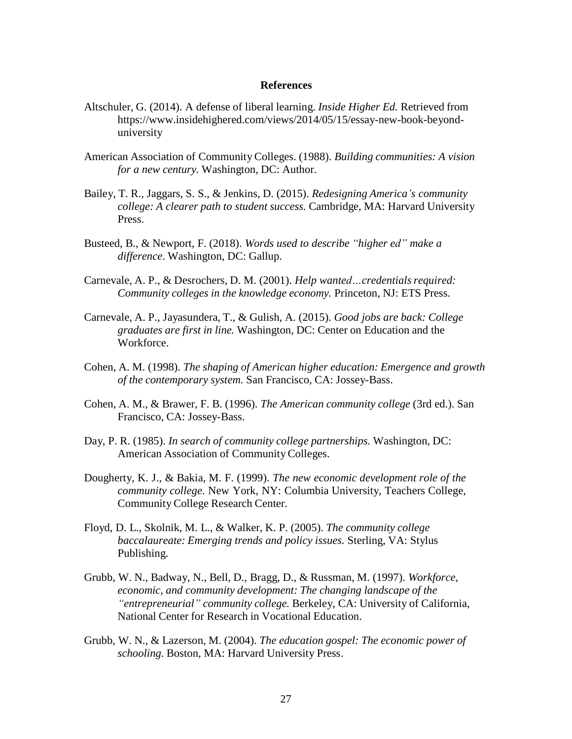## **References**

- Altschuler, G. (2014). A defense of liberal learning. *Inside Higher Ed.* Retrieved fro[m](https://www.insidehighered.com/views/2014/05/15/essay-new-book-beyond-university) [https://www.insidehighered.com/views/2014/05/15/essay-new-book-beyond](https://www.insidehighered.com/views/2014/05/15/essay-new-book-beyond-university)[university](https://www.insidehighered.com/views/2014/05/15/essay-new-book-beyond-university)
- American Association of CommunityColleges. (1988). *Building communities: A vision for a new century.* Washington, DC: Author.
- Bailey, T. R., Jaggars, S. S., & Jenkins, D. (2015). *Redesigning America's community college: A clearer path to student success.* Cambridge, MA: Harvard University Press.
- Busteed, B., & Newport, F. (2018). *Words used to describe "higher ed" make a difference*. Washington, DC: Gallup.
- Carnevale, A. P., & Desrochers, D. M. (2001). *Help wanted…credentialsrequired: Community colleges in the knowledge economy.* Princeton, NJ: ETS Press.
- Carnevale, A. P., Jayasundera, T., & Gulish, A. (2015). *Good jobs are back: College graduates are first in line.* Washington, DC: Center on Education and the Workforce.
- Cohen, A. M. (1998). *The shaping of American higher education: Emergence and growth of the contemporary system.* San Francisco, CA: Jossey-Bass.
- Cohen, A. M., & Brawer, F. B. (1996). *The American community college* (3rd ed.). San Francisco, CA: Jossey-Bass.
- Day, P. R. (1985). *In search of community college partnerships.* Washington, DC: American Association of CommunityColleges.
- Dougherty, K. J., & Bakia, M. F. (1999). *The new economic development role of the community college*. New York, NY: Columbia University, Teachers College, Community College Research Center.
- Floyd, D. L., Skolnik, M. L., & Walker, K. P. (2005). *The community college baccalaureate: Emerging trends and policy issues.* Sterling, VA: Stylus Publishing.
- Grubb, W. N., Badway, N., Bell, D., Bragg, D., & Russman, M. (1997). *Workforce, economic, and community development: The changing landscape of the "entrepreneurial" community college.* Berkeley, CA: University of California, National Center for Research in Vocational Education.
- Grubb, W. N., & Lazerson, M. (2004). *The education gospel: The economic power of schooling.* Boston, MA: Harvard University Press.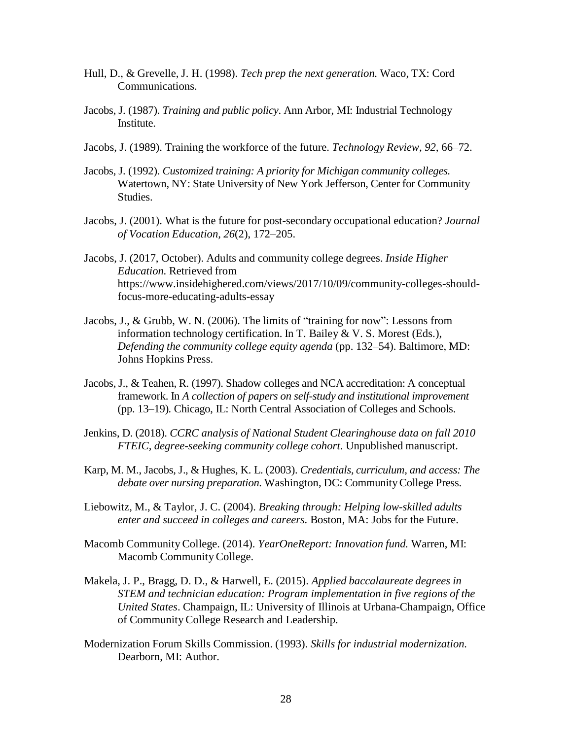- Hull, D., & Grevelle, J. H. (1998). *Tech prep the next generation.* Waco, TX: Cord Communications.
- Jacobs, J. (1987). *Training and public policy*. Ann Arbor, MI: Industrial Technology Institute.
- Jacobs, J. (1989). Training the workforce of the future. *Technology Review, 92,* 66–72.
- Jacobs, J. (1992). *Customized training: A priority for Michigan community colleges.* Watertown, NY: State University of New York Jefferson, Center for Community Studies.
- Jacobs, J. (2001). What is the future for post-secondary occupational education? *Journal of Vocation Education, 26*(2), 172–205.
- Jacobs, J. (2017, October). Adults and community college degrees. *Inside Higher Education.* Retrieved fro[m](https://www.insidehighered.com/views/2017/10/09/community-colleges-should-focus-more-educating-adults-essay) [https://www.insidehighered.com/views/2017/10/09/community-colleges-should](https://www.insidehighered.com/views/2017/10/09/community-colleges-should-focus-more-educating-adults-essay)[focus-more-educating-adults-essay](https://www.insidehighered.com/views/2017/10/09/community-colleges-should-focus-more-educating-adults-essay)
- Jacobs, J., & Grubb, W. N. (2006). The limits of "training for now": Lessons from information technology certification. In T. Bailey & V. S. Morest (Eds.), *Defending the community college equity agenda* (pp. 132–54). Baltimore, MD: Johns Hopkins Press.
- Jacobs, J., & Teahen, R. (1997). Shadow colleges and NCA accreditation: A conceptual framework. In *A collection of papers on self-study and institutional improvement*  (pp. 13–19)*.* Chicago, IL: North Central Association of Colleges and Schools.
- Jenkins, D. (2018). *CCRC analysis of National Student Clearinghouse data on fall 2010 FTEIC, degree-seeking community college cohort*. Unpublished manuscript.
- Karp, M. M., Jacobs, J., & Hughes, K. L. (2003). *Credentials, curriculum, and access: The debate over nursing preparation.* Washington, DC: CommunityCollege Press.
- Liebowitz, M., & Taylor, J. C. (2004). *Breaking through: Helping low-skilled adults enter and succeed in colleges and careers.* Boston, MA: Jobs for the Future.
- Macomb CommunityCollege. (2014). *YearOneReport: Innovation fund.* Warren, MI: Macomb CommunityCollege.
- Makela, J. P., Bragg, D. D., & Harwell, E. (2015). *Applied baccalaureate degrees in STEM and technician education: Program implementation in five regions of the United States*. Champaign, IL: University of Illinois at Urbana-Champaign, Office of CommunityCollege Research and Leadership.
- Modernization Forum Skills Commission. (1993). *Skills for industrial modernization.* Dearborn, MI: Author.